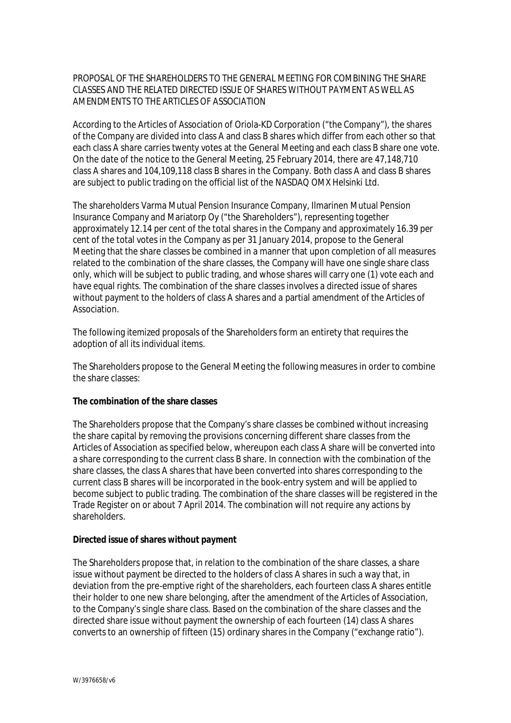## PROPOSAL OF THE SHAREHOLDERS TO THE GENERAL MEETING FOR COMBINING THE SHARE CLASSES AND THE RELATED DIRECTED ISSUE OF SHARES WITHOUT PAYMENT AS WELL AS AMENDMENTS TO THE ARTICLES OF ASSOCIATION

According to the Articles of Association of Oriola-KD Corporation ("the Company"), the shares of the Company are divided into class A and class B shares which differ from each other so that each class A share carries twenty votes at the General Meeting and each class B share one vote. On the date of the notice to the General Meeting, 25 February 2014, there are 47,148,710 class A shares and 104,109,118 class B shares in the Company. Both class A and class B shares are subject to public trading on the official list of the NASDAQ OMX Helsinki Ltd.

The shareholders Varma Mutual Pension Insurance Company, Ilmarinen Mutual Pension Insurance Company and Mariatorp Oy ("the Shareholders"), representing together approximately 12.14 per cent of the total shares in the Company and approximately 16.39 per cent of the total votes in the Company as per 31 January 2014, propose to the General Meeting that the share classes be combined in a manner that upon completion of all measures related to the combination of the share classes, the Company will have one single share class only, which will be subject to public trading, and whose shares will carry one (1) vote each and have equal rights. The combination of the share classes involves a directed issue of shares without payment to the holders of class A shares and a partial amendment of the Articles of Association.

The following itemized proposals of the Shareholders form an entirety that requires the adoption of all its individual items.

The Shareholders propose to the General Meeting the following measures in order to combine the share classes:

**The combination of the share classes**

The Shareholders propose that the Company's share classes be combined without increasing the share capital by removing the provisions concerning different share classes from the Articles of Association as specified below, whereupon each class A share will be converted into a share corresponding to the current class B share. In connection with the combination of the share classes, the class A shares that have been converted into shares corresponding to the current class B shares will be incorporated in the book-entry system and will be applied to become subject to public trading. The combination of the share classes will be registered in the Trade Register on or about 7 April 2014. The combination will not require any actions by shareholders.

**Directed issue of shares without payment**

The Shareholders propose that, in relation to the combination of the share classes, a share issue without payment be directed to the holders of class A shares in such a way that, in deviation from the pre-emptive right of the shareholders, each fourteen class A shares entitle their holder to one new share belonging, after the amendment of the Articles of Association, to the Company's single share class. Based on the combination of the share classes and the directed share issue without payment the ownership of each fourteen (14) class A shares converts to an ownership of fifteen (15) ordinary shares in the Company ("exchange ratio").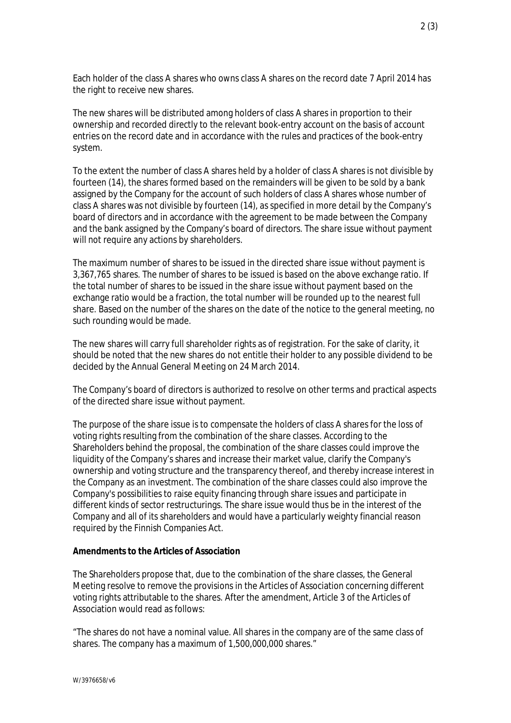Each holder of the class A shares who owns class A shares on the record date 7 April 2014 has the right to receive new shares.

The new shares will be distributed among holders of class A shares in proportion to their ownership and recorded directly to the relevant book-entry account on the basis of account entries on the record date and in accordance with the rules and practices of the book-entry system.

To the extent the number of class A shares held by a holder of class A shares is not divisible by fourteen (14), the shares formed based on the remainders will be given to be sold by a bank assigned by the Company for the account of such holders of class A shares whose number of class A shares was not divisible by fourteen (14), as specified in more detail by the Company's board of directors and in accordance with the agreement to be made between the Company and the bank assigned by the Company's board of directors. The share issue without payment will not require any actions by shareholders.

The maximum number of shares to be issued in the directed share issue without payment is 3,367,765 shares. The number of shares to be issued is based on the above exchange ratio. If the total number of shares to be issued in the share issue without payment based on the exchange ratio would be a fraction, the total number will be rounded up to the nearest full share. Based on the number of the shares on the date of the notice to the general meeting, no such rounding would be made.

The new shares will carry full shareholder rights as of registration. For the sake of clarity, it should be noted that the new shares do not entitle their holder to any possible dividend to be decided by the Annual General Meeting on 24 March 2014.

The Company's board of directors is authorized to resolve on other terms and practical aspects of the directed share issue without payment.

The purpose of the share issue is to compensate the holders of class A shares for the loss of voting rights resulting from the combination of the share classes. According to the Shareholders behind the proposal, the combination of the share classes could improve the liquidity of the Company's shares and increase their market value, clarify the Company's ownership and voting structure and the transparency thereof, and thereby increase interest in the Company as an investment. The combination of the share classes could also improve the Company's possibilities to raise equity financing through share issues and participate in different kinds of sector restructurings. The share issue would thus be in the interest of the Company and all of its shareholders and would have a particularly weighty financial reason required by the Finnish Companies Act.

## **Amendments to the Articles of Association**

The Shareholders propose that, due to the combination of the share classes, the General Meeting resolve to remove the provisions in the Articles of Association concerning different voting rights attributable to the shares. After the amendment, Article 3 of the Articles of Association would read as follows:

"The shares do not have a nominal value. All shares in the company are of the same class of shares. The company has a maximum of 1,500,000,000 shares."